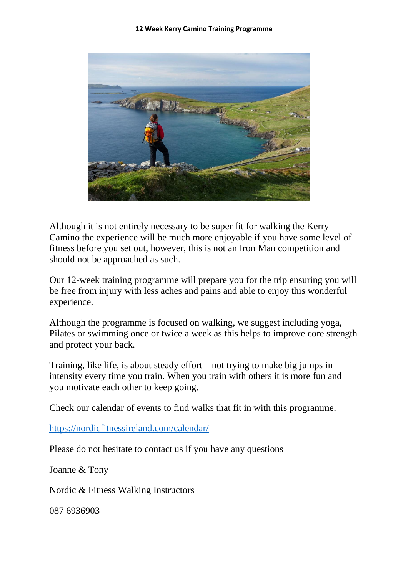

Although it is not entirely necessary to be super fit for walking the Kerry Camino the experience will be much more enjoyable if you have some level of fitness before you set out, however, this is not an Iron Man competition and should not be approached as such.

Our 12-week training programme will prepare you for the trip ensuring you will be free from injury with less aches and pains and able to enjoy this wonderful experience.

Although the programme is focused on walking, we suggest including yoga, Pilates or swimming once or twice a week as this helps to improve core strength and protect your back.

Training, like life, is about steady effort – not trying to make big jumps in intensity every time you train. When you train with others it is more fun and you motivate each other to keep going.

Check our calendar of events to find walks that fit in with this programme.

<https://nordicfitnessireland.com/calendar/>

Please do not hesitate to contact us if you have any questions

Joanne & Tony

Nordic & Fitness Walking Instructors

087 6936903